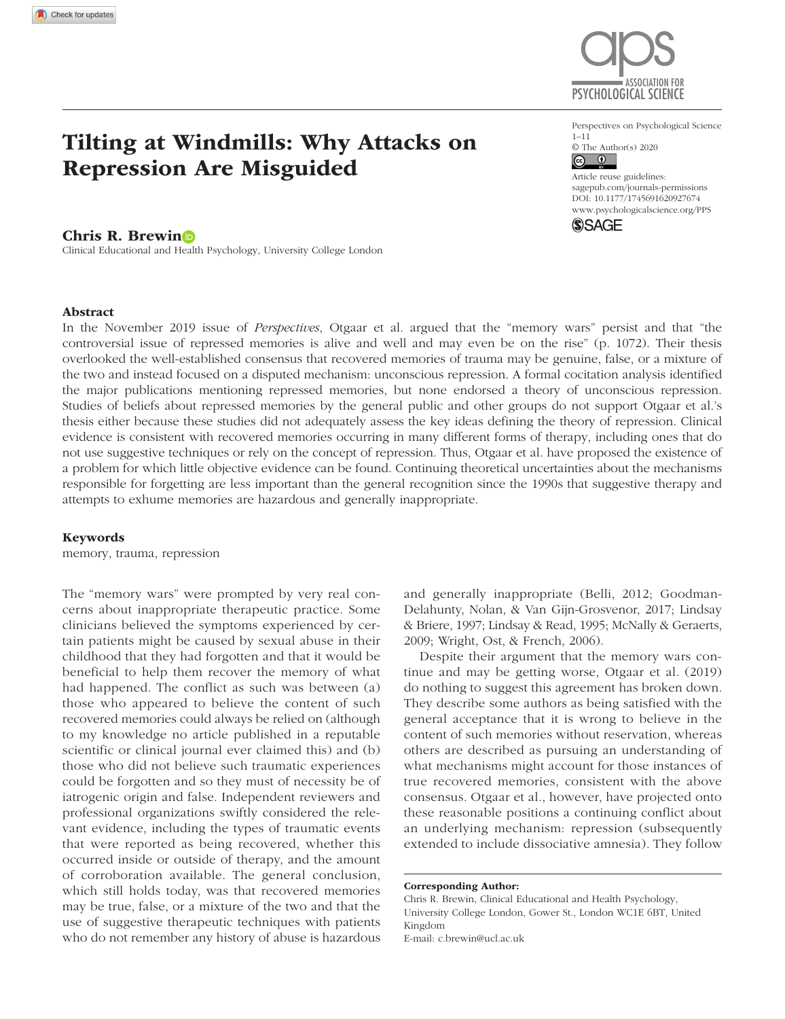

### Chris R. Brewin

Clinical Educational and Health Psychology, University College London



Perspectives on Psychological Science 1–11  $\circledcirc$  The Author(s) 2020

https://doi.org/10.1177/1745691620927674 DOI: 10.1177/1745691620927674 Article reuse guidelines: [sagepub.com/journals-permissions](https://us.sagepub.com/en-us/journals-permissions) [www.psychologicalscience.org/PPS](http://www.psychologicalscience.org/pps)



### Abstract

In the November 2019 issue of *Perspectives*, Otgaar et al. argued that the "memory wars" persist and that "the controversial issue of repressed memories is alive and well and may even be on the rise" (p. 1072). Their thesis overlooked the well-established consensus that recovered memories of trauma may be genuine, false, or a mixture of the two and instead focused on a disputed mechanism: unconscious repression. A formal cocitation analysis identified the major publications mentioning repressed memories, but none endorsed a theory of unconscious repression. Studies of beliefs about repressed memories by the general public and other groups do not support Otgaar et al.'s thesis either because these studies did not adequately assess the key ideas defining the theory of repression. Clinical evidence is consistent with recovered memories occurring in many different forms of therapy, including ones that do not use suggestive techniques or rely on the concept of repression. Thus, Otgaar et al. have proposed the existence of a problem for which little objective evidence can be found. Continuing theoretical uncertainties about the mechanisms responsible for forgetting are less important than the general recognition since the 1990s that suggestive therapy and attempts to exhume memories are hazardous and generally inappropriate.

#### Keywords

memory, trauma, repression

The "memory wars" were prompted by very real concerns about inappropriate therapeutic practice. Some clinicians believed the symptoms experienced by certain patients might be caused by sexual abuse in their childhood that they had forgotten and that it would be beneficial to help them recover the memory of what had happened. The conflict as such was between (a) those who appeared to believe the content of such recovered memories could always be relied on (although to my knowledge no article published in a reputable scientific or clinical journal ever claimed this) and (b) those who did not believe such traumatic experiences could be forgotten and so they must of necessity be of iatrogenic origin and false. Independent reviewers and professional organizations swiftly considered the relevant evidence, including the types of traumatic events that were reported as being recovered, whether this occurred inside or outside of therapy, and the amount of corroboration available. The general conclusion, which still holds today, was that recovered memories may be true, false, or a mixture of the two and that the use of suggestive therapeutic techniques with patients who do not remember any history of abuse is hazardous

and generally inappropriate (Belli, 2012; Goodman-Delahunty, Nolan, & Van Gijn-Grosvenor, 2017; Lindsay & Briere, 1997; Lindsay & Read, 1995; McNally & Geraerts, 2009; Wright, Ost, & French, 2006).

Despite their argument that the memory wars continue and may be getting worse, Otgaar et al. (2019) do nothing to suggest this agreement has broken down. They describe some authors as being satisfied with the general acceptance that it is wrong to believe in the content of such memories without reservation, whereas others are described as pursuing an understanding of what mechanisms might account for those instances of true recovered memories, consistent with the above consensus. Otgaar et al., however, have projected onto these reasonable positions a continuing conflict about an underlying mechanism: repression (subsequently extended to include dissociative amnesia). They follow

Corresponding Author:

Chris R. Brewin, Clinical Educational and Health Psychology, University College London, Gower St., London WC1E 6BT, United Kingdom E-mail: [c.brewin@ucl.ac.uk](mailto:c.brewin@ucl.ac.uk)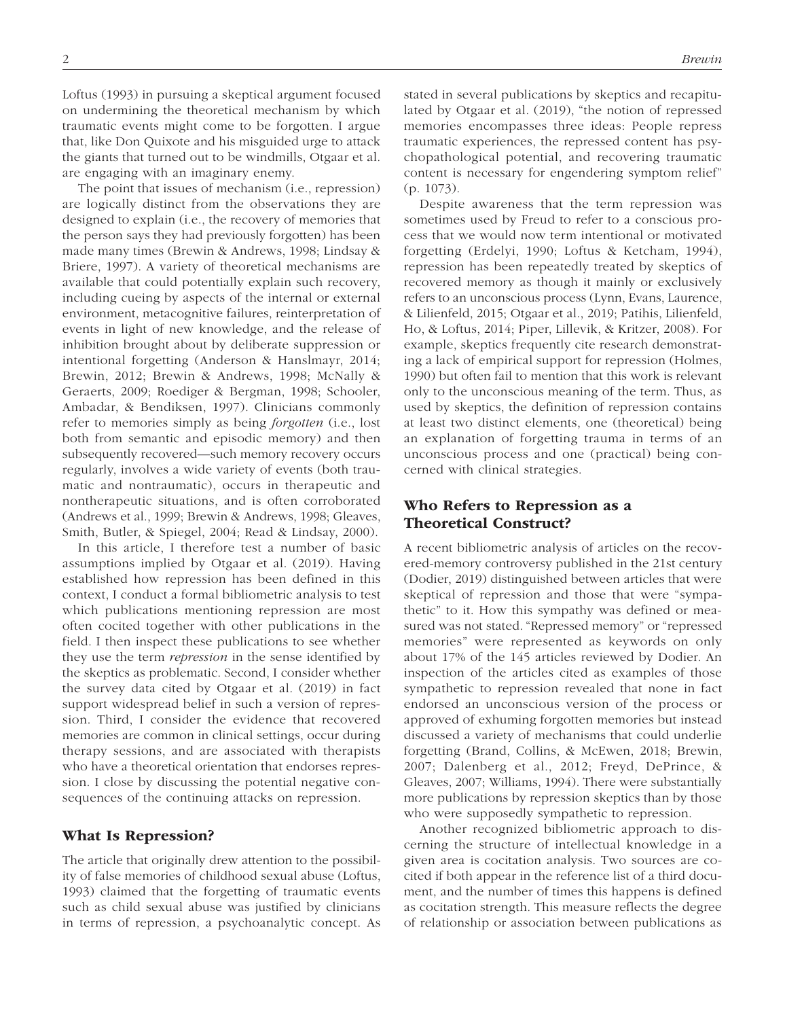Loftus (1993) in pursuing a skeptical argument focused on undermining the theoretical mechanism by which traumatic events might come to be forgotten. I argue that, like Don Quixote and his misguided urge to attack the giants that turned out to be windmills, Otgaar et al. are engaging with an imaginary enemy.

The point that issues of mechanism (i.e., repression) are logically distinct from the observations they are designed to explain (i.e., the recovery of memories that the person says they had previously forgotten) has been made many times (Brewin & Andrews, 1998; Lindsay & Briere, 1997). A variety of theoretical mechanisms are available that could potentially explain such recovery, including cueing by aspects of the internal or external environment, metacognitive failures, reinterpretation of events in light of new knowledge, and the release of inhibition brought about by deliberate suppression or intentional forgetting (Anderson & Hanslmayr, 2014; Brewin, 2012; Brewin & Andrews, 1998; McNally & Geraerts, 2009; Roediger & Bergman, 1998; Schooler, Ambadar, & Bendiksen, 1997). Clinicians commonly refer to memories simply as being *forgotten* (i.e., lost both from semantic and episodic memory) and then subsequently recovered—such memory recovery occurs regularly, involves a wide variety of events (both traumatic and nontraumatic), occurs in therapeutic and nontherapeutic situations, and is often corroborated (Andrews et al., 1999; Brewin & Andrews, 1998; Gleaves, Smith, Butler, & Spiegel, 2004; Read & Lindsay, 2000).

In this article, I therefore test a number of basic assumptions implied by Otgaar et al. (2019). Having established how repression has been defined in this context, I conduct a formal bibliometric analysis to test which publications mentioning repression are most often cocited together with other publications in the field. I then inspect these publications to see whether they use the term *repression* in the sense identified by the skeptics as problematic. Second, I consider whether the survey data cited by Otgaar et al. (2019) in fact support widespread belief in such a version of repression. Third, I consider the evidence that recovered memories are common in clinical settings, occur during therapy sessions, and are associated with therapists who have a theoretical orientation that endorses repression. I close by discussing the potential negative consequences of the continuing attacks on repression.

### What Is Repression?

The article that originally drew attention to the possibility of false memories of childhood sexual abuse (Loftus, 1993) claimed that the forgetting of traumatic events such as child sexual abuse was justified by clinicians in terms of repression, a psychoanalytic concept. As stated in several publications by skeptics and recapitulated by Otgaar et al. (2019), "the notion of repressed memories encompasses three ideas: People repress traumatic experiences, the repressed content has psychopathological potential, and recovering traumatic content is necessary for engendering symptom relief" (p. 1073).

Despite awareness that the term repression was sometimes used by Freud to refer to a conscious process that we would now term intentional or motivated forgetting (Erdelyi, 1990; Loftus & Ketcham, 1994), repression has been repeatedly treated by skeptics of recovered memory as though it mainly or exclusively refers to an unconscious process (Lynn, Evans, Laurence, & Lilienfeld, 2015; Otgaar et al., 2019; Patihis, Lilienfeld, Ho, & Loftus, 2014; Piper, Lillevik, & Kritzer, 2008). For example, skeptics frequently cite research demonstrating a lack of empirical support for repression (Holmes, 1990) but often fail to mention that this work is relevant only to the unconscious meaning of the term. Thus, as used by skeptics, the definition of repression contains at least two distinct elements, one (theoretical) being an explanation of forgetting trauma in terms of an unconscious process and one (practical) being concerned with clinical strategies.

## Who Refers to Repression as a Theoretical Construct?

A recent bibliometric analysis of articles on the recovered-memory controversy published in the 21st century (Dodier, 2019) distinguished between articles that were skeptical of repression and those that were "sympathetic" to it. How this sympathy was defined or measured was not stated. "Repressed memory" or "repressed memories" were represented as keywords on only about 17% of the 145 articles reviewed by Dodier. An inspection of the articles cited as examples of those sympathetic to repression revealed that none in fact endorsed an unconscious version of the process or approved of exhuming forgotten memories but instead discussed a variety of mechanisms that could underlie forgetting (Brand, Collins, & McEwen, 2018; Brewin, 2007; Dalenberg et al., 2012; Freyd, DePrince, & Gleaves, 2007; Williams, 1994). There were substantially more publications by repression skeptics than by those who were supposedly sympathetic to repression.

Another recognized bibliometric approach to discerning the structure of intellectual knowledge in a given area is cocitation analysis. Two sources are cocited if both appear in the reference list of a third document, and the number of times this happens is defined as cocitation strength. This measure reflects the degree of relationship or association between publications as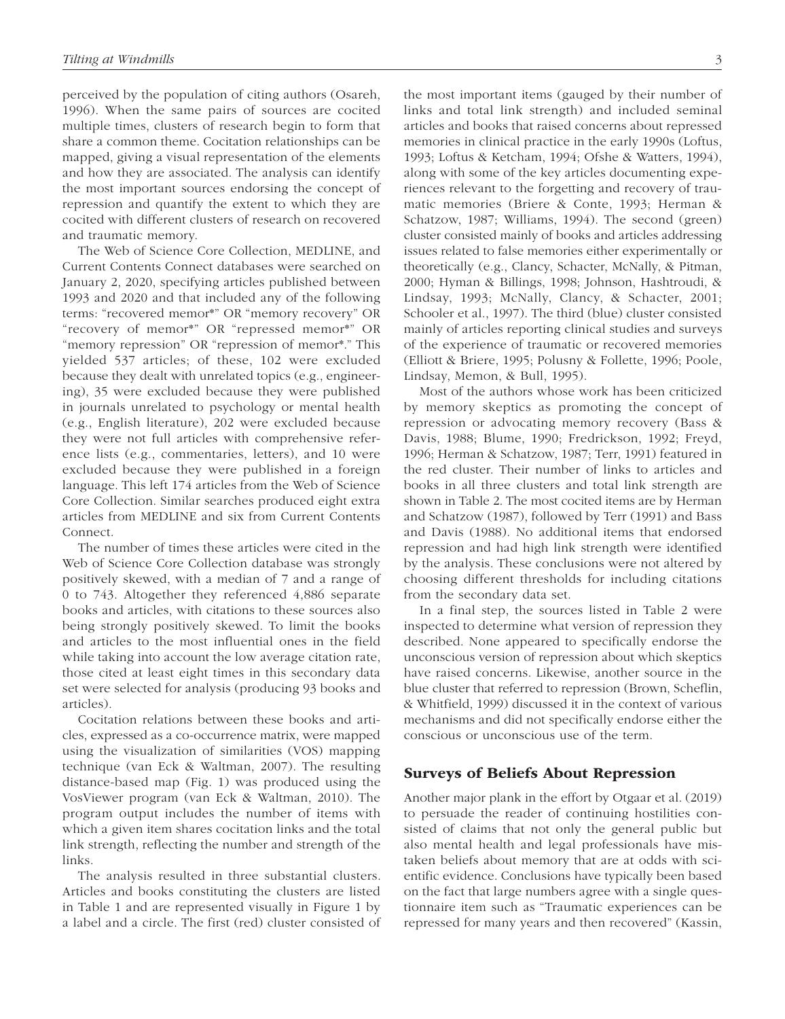perceived by the population of citing authors (Osareh, 1996). When the same pairs of sources are cocited multiple times, clusters of research begin to form that share a common theme. Cocitation relationships can be mapped, giving a visual representation of the elements and how they are associated. The analysis can identify the most important sources endorsing the concept of repression and quantify the extent to which they are cocited with different clusters of research on recovered and traumatic memory.

The Web of Science Core Collection, MEDLINE, and Current Contents Connect databases were searched on January 2, 2020, specifying articles published between 1993 and 2020 and that included any of the following terms: "recovered memor\*" OR "memory recovery" OR "recovery of memor\*" OR "repressed memor\*" OR "memory repression" OR "repression of memor\*." This yielded 537 articles; of these, 102 were excluded because they dealt with unrelated topics (e.g., engineering), 35 were excluded because they were published in journals unrelated to psychology or mental health (e.g., English literature), 202 were excluded because they were not full articles with comprehensive reference lists (e.g., commentaries, letters), and 10 were excluded because they were published in a foreign language. This left 174 articles from the Web of Science Core Collection. Similar searches produced eight extra articles from MEDLINE and six from Current Contents Connect.

The number of times these articles were cited in the Web of Science Core Collection database was strongly positively skewed, with a median of 7 and a range of 0 to 743. Altogether they referenced 4,886 separate books and articles, with citations to these sources also being strongly positively skewed. To limit the books and articles to the most influential ones in the field while taking into account the low average citation rate, those cited at least eight times in this secondary data set were selected for analysis (producing 93 books and articles).

Cocitation relations between these books and articles, expressed as a co-occurrence matrix, were mapped using the visualization of similarities (VOS) mapping technique (van Eck & Waltman, 2007). The resulting distance-based map (Fig. 1) was produced using the VosViewer program (van Eck & Waltman, 2010). The program output includes the number of items with which a given item shares cocitation links and the total link strength, reflecting the number and strength of the links.

The analysis resulted in three substantial clusters. Articles and books constituting the clusters are listed in Table 1 and are represented visually in Figure 1 by a label and a circle. The first (red) cluster consisted of the most important items (gauged by their number of links and total link strength) and included seminal articles and books that raised concerns about repressed memories in clinical practice in the early 1990s (Loftus, 1993; Loftus & Ketcham, 1994; Ofshe & Watters, 1994), along with some of the key articles documenting experiences relevant to the forgetting and recovery of traumatic memories (Briere & Conte, 1993; Herman & Schatzow, 1987; Williams, 1994). The second (green) cluster consisted mainly of books and articles addressing issues related to false memories either experimentally or theoretically (e.g., Clancy, Schacter, McNally, & Pitman, 2000; Hyman & Billings, 1998; Johnson, Hashtroudi, & Lindsay, 1993; McNally, Clancy, & Schacter, 2001; Schooler et al., 1997). The third (blue) cluster consisted mainly of articles reporting clinical studies and surveys of the experience of traumatic or recovered memories (Elliott & Briere, 1995; Polusny & Follette, 1996; Poole, Lindsay, Memon, & Bull, 1995).

Most of the authors whose work has been criticized by memory skeptics as promoting the concept of repression or advocating memory recovery (Bass & Davis, 1988; Blume, 1990; Fredrickson, 1992; Freyd, 1996; Herman & Schatzow, 1987; Terr, 1991) featured in the red cluster. Their number of links to articles and books in all three clusters and total link strength are shown in Table 2. The most cocited items are by Herman and Schatzow (1987), followed by Terr (1991) and Bass and Davis (1988). No additional items that endorsed repression and had high link strength were identified by the analysis. These conclusions were not altered by choosing different thresholds for including citations from the secondary data set.

In a final step, the sources listed in Table 2 were inspected to determine what version of repression they described. None appeared to specifically endorse the unconscious version of repression about which skeptics have raised concerns. Likewise, another source in the blue cluster that referred to repression (Brown, Scheflin, & Whitfield, 1999) discussed it in the context of various mechanisms and did not specifically endorse either the conscious or unconscious use of the term.

### Surveys of Beliefs About Repression

Another major plank in the effort by Otgaar et al. (2019) to persuade the reader of continuing hostilities consisted of claims that not only the general public but also mental health and legal professionals have mistaken beliefs about memory that are at odds with scientific evidence. Conclusions have typically been based on the fact that large numbers agree with a single questionnaire item such as "Traumatic experiences can be repressed for many years and then recovered" (Kassin,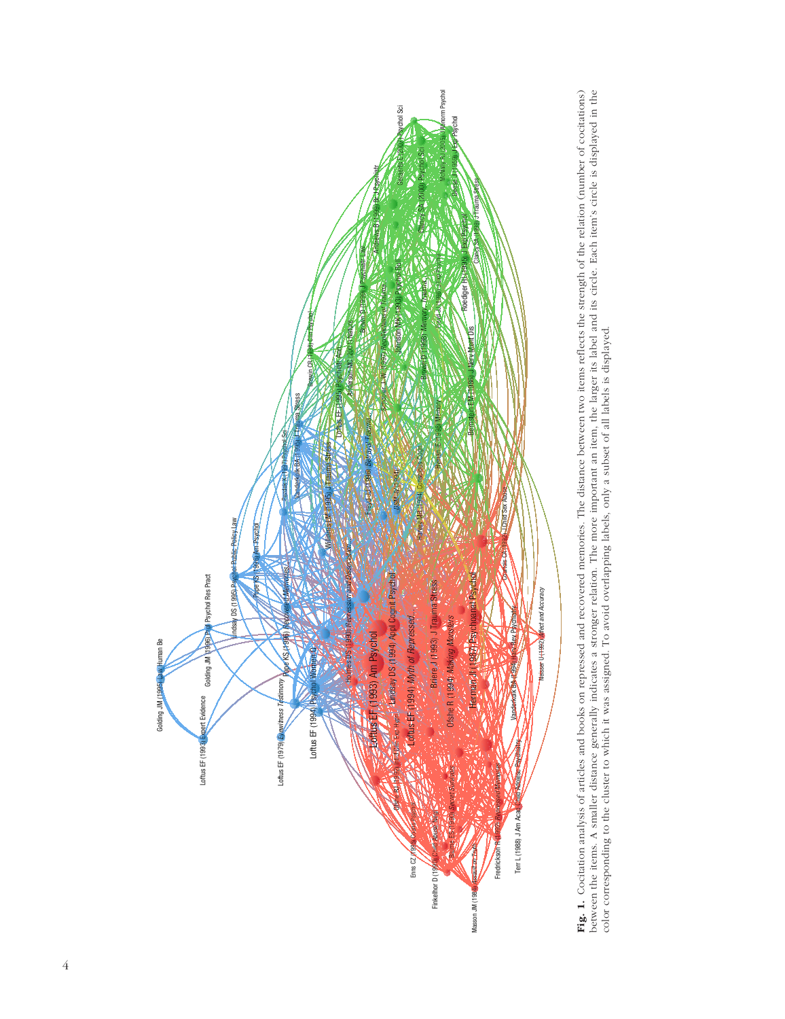

Fig. 1. Cocitation analysis of articles and books on repressed and recovered memories. The distance between two items reflects the strength of the relation (number of cocitations) Fig. 1. Cocitation analysis of articles and books on repressed and recovered memories. The distance between two items reflects the strength of the relation (number of cocitations) between the items. A smaller distance generally indicates a stronger relation. The more important an item, the larger its label and its circle. Each item's circle is displayed in the between the items. A smaller distance generally indicates a stronger relation. The more important an item, the larger its label and its circle. Each item's circle is displayed in the color corresponding to the cluster to which it was assigned. To avoid overlapping labels, only a subset of all labels is displayed. color corresponding to the cluster to which it was assigned. To avoid overlapping labels, only a subset of all labels is displayed.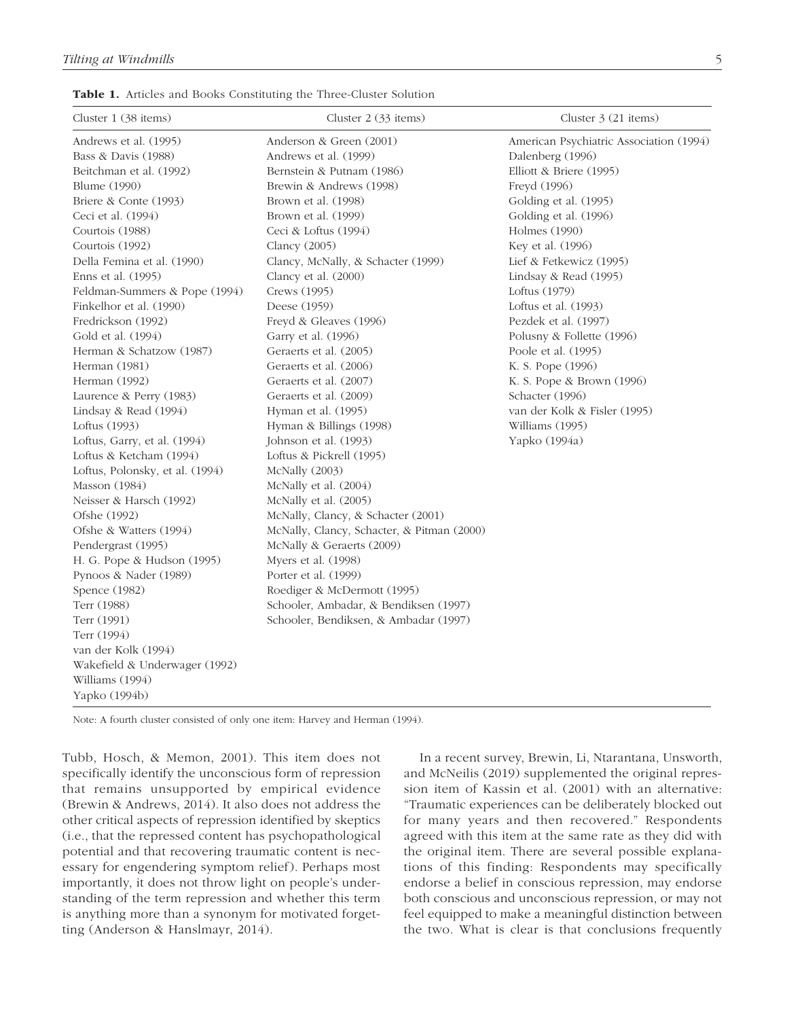Table 1. Articles and Books Constituting the Three-Cluster Solution

| Cluster $1$ (38 items)          | Cluster 2 (33 items)                       | Cluster $3(21$ items)                   |
|---------------------------------|--------------------------------------------|-----------------------------------------|
| Andrews et al. (1995)           | Anderson & Green (2001)                    | American Psychiatric Association (1994) |
| Bass & Davis (1988)             | Andrews et al. (1999)                      | Dalenberg (1996)                        |
| Beitchman et al. (1992)         | Bernstein & Putnam (1986)                  | Elliott & Briere (1995)                 |
| <b>Blume</b> (1990)             | Brewin & Andrews (1998)                    | Freyd (1996)                            |
| Briere & Conte (1993)           | Brown et al. (1998)                        | Golding et al. (1995)                   |
| Ceci et al. (1994)              | Brown et al. (1999)                        | Golding et al. (1996)                   |
| Courtois (1988)                 | Ceci & Loftus (1994)                       | Holmes (1990)                           |
| Courtois (1992)                 | Clancy (2005)                              | Key et al. (1996)                       |
| Della Femina et al. (1990)      | Clancy, McNally, & Schacter (1999)         | Lief & Fetkewicz (1995)                 |
| Enns et al. (1995)              | Clancy et al. (2000)                       | Lindsay & Read (1995)                   |
| Feldman-Summers & Pope (1994)   | Crews (1995)                               | Loftus (1979)                           |
| Finkelhor et al. (1990)         | Deese (1959)                               | Loftus et al. (1993)                    |
| Fredrickson (1992)              | Freyd & Gleaves (1996)                     | Pezdek et al. (1997)                    |
| Gold et al. (1994)              | Garry et al. (1996)                        | Polusny & Follette (1996)               |
| Herman & Schatzow (1987)        | Geraerts et al. (2005)                     | Poole et al. (1995)                     |
| Herman (1981)                   | Geraerts et al. (2006)                     | K. S. Pope (1996)                       |
| Herman (1992)                   | Geraerts et al. (2007)                     | K. S. Pope & Brown (1996)               |
| Laurence & Perry (1983)         | Geraerts et al. (2009)                     | Schacter (1996)                         |
| Lindsay & Read (1994)           | Hyman et al. (1995)                        | van der Kolk & Fisler (1995)            |
| Loftus (1993)                   | Hyman & Billings (1998)                    | Williams (1995)                         |
| Loftus, Garry, et al. (1994)    | Johnson et al. (1993)                      | Yapko (1994a)                           |
| Loftus & Ketcham (1994)         | Loftus & Pickrell (1995)                   |                                         |
| Loftus, Polonsky, et al. (1994) | McNally (2003)                             |                                         |
| Masson (1984)                   | McNally et al. (2004)                      |                                         |
| Neisser & Harsch (1992)         | McNally et al. (2005)                      |                                         |
| Ofshe (1992)                    | McNally, Clancy, & Schacter (2001)         |                                         |
| Ofshe & Watters (1994)          | McNally, Clancy, Schacter, & Pitman (2000) |                                         |
| Pendergrast (1995)              | McNally & Geraerts (2009)                  |                                         |
| H. G. Pope & Hudson (1995)      | Myers et al. (1998)                        |                                         |
| Pynoos & Nader (1989)           | Porter et al. (1999)                       |                                         |
| Spence (1982)                   | Roediger & McDermott (1995)                |                                         |
| Terr (1988)                     | Schooler, Ambadar, & Bendiksen (1997)      |                                         |
| Terr (1991)                     | Schooler, Bendiksen, & Ambadar (1997)      |                                         |
| Terr (1994)                     |                                            |                                         |
| van der Kolk (1994)             |                                            |                                         |
| Wakefield & Underwager (1992)   |                                            |                                         |
| Williams (1994)                 |                                            |                                         |
| Yapko (1994b)                   |                                            |                                         |
|                                 |                                            |                                         |

Note: A fourth cluster consisted of only one item: Harvey and Herman (1994).

Tubb, Hosch, & Memon, 2001). This item does not specifically identify the unconscious form of repression that remains unsupported by empirical evidence (Brewin & Andrews, 2014). It also does not address the other critical aspects of repression identified by skeptics (i.e., that the repressed content has psychopathological potential and that recovering traumatic content is necessary for engendering symptom relief). Perhaps most importantly, it does not throw light on people's understanding of the term repression and whether this term is anything more than a synonym for motivated forgetting (Anderson & Hanslmayr, 2014).

In a recent survey, Brewin, Li, Ntarantana, Unsworth, and McNeilis (2019) supplemented the original repression item of Kassin et al. (2001) with an alternative: "Traumatic experiences can be deliberately blocked out for many years and then recovered." Respondents agreed with this item at the same rate as they did with the original item. There are several possible explanations of this finding: Respondents may specifically endorse a belief in conscious repression, may endorse both conscious and unconscious repression, or may not feel equipped to make a meaningful distinction between the two. What is clear is that conclusions frequently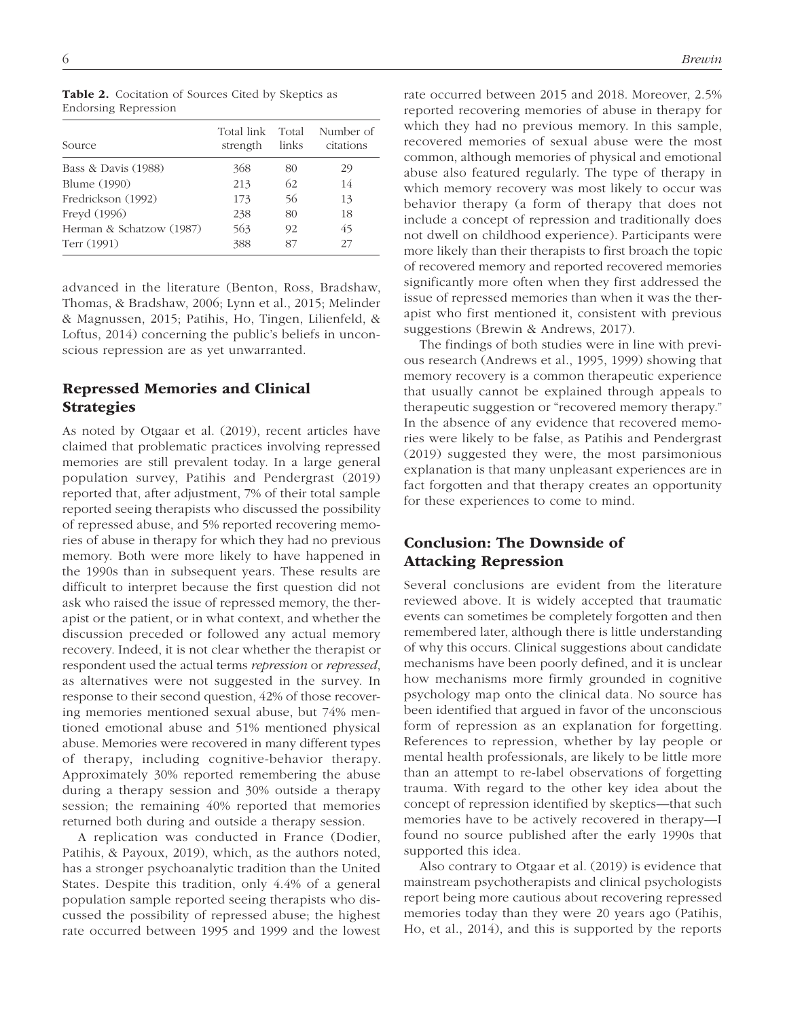| Source                   | Total link<br>strength | Total<br>links | Number of<br>citations |
|--------------------------|------------------------|----------------|------------------------|
| Bass & Davis (1988)      | 368                    | 80             | 29                     |
| Blume (1990)             | 213                    | 62             | 14                     |
| Fredrickson (1992)       | 173                    | 56             | 13                     |
| Freyd (1996)             | 238                    | 80             | 18                     |
| Herman & Schatzow (1987) | 563                    | 92             | 45                     |
| Terr (1991)              | 388                    | 87             | 27                     |

Table 2. Cocitation of Sources Cited by Skeptics as Endorsing Repression

advanced in the literature (Benton, Ross, Bradshaw, Thomas, & Bradshaw, 2006; Lynn et al., 2015; Melinder & Magnussen, 2015; Patihis, Ho, Tingen, Lilienfeld, & Loftus, 2014) concerning the public's beliefs in unconscious repression are as yet unwarranted.

## Repressed Memories and Clinical **Strategies**

As noted by Otgaar et al. (2019), recent articles have claimed that problematic practices involving repressed memories are still prevalent today. In a large general population survey, Patihis and Pendergrast (2019) reported that, after adjustment, 7% of their total sample reported seeing therapists who discussed the possibility of repressed abuse, and 5% reported recovering memories of abuse in therapy for which they had no previous memory. Both were more likely to have happened in the 1990s than in subsequent years. These results are difficult to interpret because the first question did not ask who raised the issue of repressed memory, the therapist or the patient, or in what context, and whether the discussion preceded or followed any actual memory recovery. Indeed, it is not clear whether the therapist or respondent used the actual terms *repression* or *repressed*, as alternatives were not suggested in the survey. In response to their second question, 42% of those recovering memories mentioned sexual abuse, but 74% mentioned emotional abuse and 51% mentioned physical abuse. Memories were recovered in many different types of therapy, including cognitive-behavior therapy. Approximately 30% reported remembering the abuse during a therapy session and 30% outside a therapy session; the remaining 40% reported that memories returned both during and outside a therapy session.

A replication was conducted in France (Dodier, Patihis, & Payoux, 2019), which, as the authors noted, has a stronger psychoanalytic tradition than the United States. Despite this tradition, only 4.4% of a general population sample reported seeing therapists who discussed the possibility of repressed abuse; the highest rate occurred between 1995 and 1999 and the lowest

rate occurred between 2015 and 2018. Moreover, 2.5% reported recovering memories of abuse in therapy for which they had no previous memory. In this sample, recovered memories of sexual abuse were the most common, although memories of physical and emotional abuse also featured regularly. The type of therapy in which memory recovery was most likely to occur was behavior therapy (a form of therapy that does not include a concept of repression and traditionally does not dwell on childhood experience). Participants were more likely than their therapists to first broach the topic of recovered memory and reported recovered memories significantly more often when they first addressed the issue of repressed memories than when it was the therapist who first mentioned it, consistent with previous suggestions (Brewin & Andrews, 2017).

The findings of both studies were in line with previous research (Andrews et al., 1995, 1999) showing that memory recovery is a common therapeutic experience that usually cannot be explained through appeals to therapeutic suggestion or "recovered memory therapy." In the absence of any evidence that recovered memories were likely to be false, as Patihis and Pendergrast (2019) suggested they were, the most parsimonious explanation is that many unpleasant experiences are in fact forgotten and that therapy creates an opportunity for these experiences to come to mind.

# Conclusion: The Downside of Attacking Repression

Several conclusions are evident from the literature reviewed above. It is widely accepted that traumatic events can sometimes be completely forgotten and then remembered later, although there is little understanding of why this occurs. Clinical suggestions about candidate mechanisms have been poorly defined, and it is unclear how mechanisms more firmly grounded in cognitive psychology map onto the clinical data. No source has been identified that argued in favor of the unconscious form of repression as an explanation for forgetting. References to repression, whether by lay people or mental health professionals, are likely to be little more than an attempt to re-label observations of forgetting trauma. With regard to the other key idea about the concept of repression identified by skeptics—that such memories have to be actively recovered in therapy—I found no source published after the early 1990s that supported this idea.

Also contrary to Otgaar et al. (2019) is evidence that mainstream psychotherapists and clinical psychologists report being more cautious about recovering repressed memories today than they were 20 years ago (Patihis, Ho, et al., 2014), and this is supported by the reports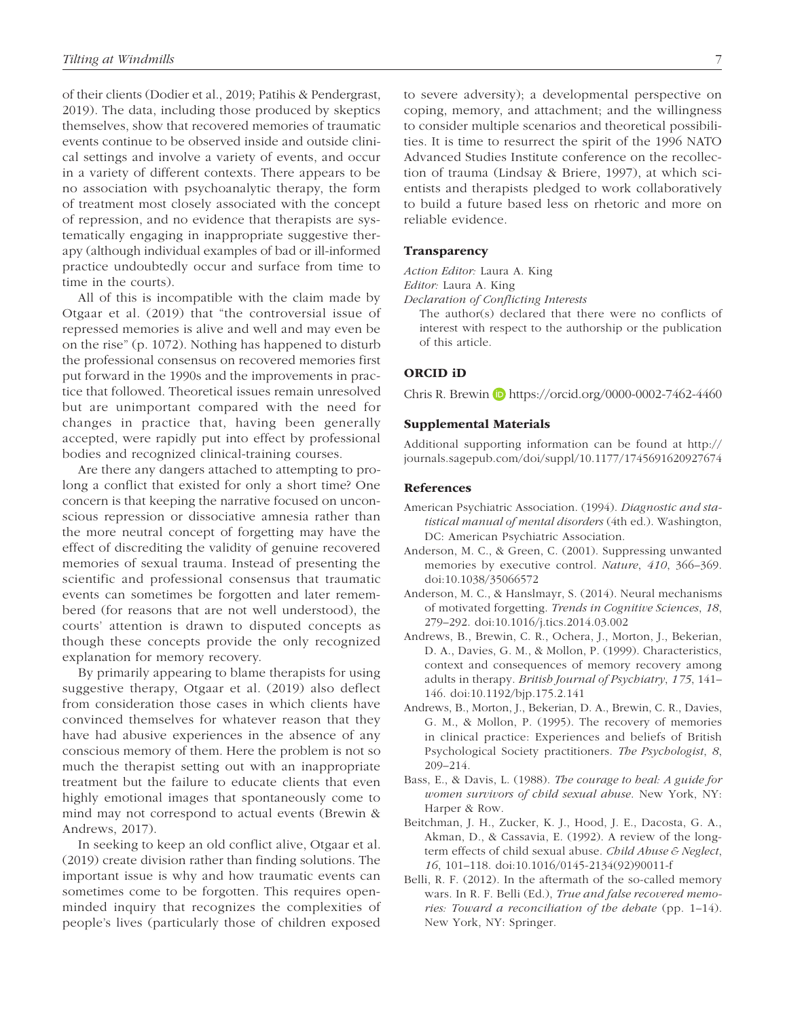of their clients (Dodier et al., 2019; Patihis & Pendergrast, 2019). The data, including those produced by skeptics themselves, show that recovered memories of traumatic events continue to be observed inside and outside clinical settings and involve a variety of events, and occur in a variety of different contexts. There appears to be no association with psychoanalytic therapy, the form of treatment most closely associated with the concept of repression, and no evidence that therapists are systematically engaging in inappropriate suggestive therapy (although individual examples of bad or ill-informed practice undoubtedly occur and surface from time to time in the courts).

All of this is incompatible with the claim made by Otgaar et al. (2019) that "the controversial issue of repressed memories is alive and well and may even be on the rise" (p. 1072). Nothing has happened to disturb the professional consensus on recovered memories first put forward in the 1990s and the improvements in practice that followed. Theoretical issues remain unresolved but are unimportant compared with the need for changes in practice that, having been generally accepted, were rapidly put into effect by professional bodies and recognized clinical-training courses.

Are there any dangers attached to attempting to prolong a conflict that existed for only a short time? One concern is that keeping the narrative focused on unconscious repression or dissociative amnesia rather than the more neutral concept of forgetting may have the effect of discrediting the validity of genuine recovered memories of sexual trauma. Instead of presenting the scientific and professional consensus that traumatic events can sometimes be forgotten and later remembered (for reasons that are not well understood), the courts' attention is drawn to disputed concepts as though these concepts provide the only recognized explanation for memory recovery.

By primarily appearing to blame therapists for using suggestive therapy, Otgaar et al. (2019) also deflect from consideration those cases in which clients have convinced themselves for whatever reason that they have had abusive experiences in the absence of any conscious memory of them. Here the problem is not so much the therapist setting out with an inappropriate treatment but the failure to educate clients that even highly emotional images that spontaneously come to mind may not correspond to actual events (Brewin & Andrews, 2017).

In seeking to keep an old conflict alive, Otgaar et al. (2019) create division rather than finding solutions. The important issue is why and how traumatic events can sometimes come to be forgotten. This requires openminded inquiry that recognizes the complexities of people's lives (particularly those of children exposed to severe adversity); a developmental perspective on coping, memory, and attachment; and the willingness to consider multiple scenarios and theoretical possibilities. It is time to resurrect the spirit of the 1996 NATO Advanced Studies Institute conference on the recollection of trauma (Lindsay & Briere, 1997), at which scientists and therapists pledged to work collaboratively to build a future based less on rhetoric and more on reliable evidence.

### **Transparency**

*Action Editor:* Laura A. King

*Editor:* Laura A. King

*Declaration of Conflicting Interests*

The author(s) declared that there were no conflicts of interest with respect to the authorship or the publication of this article.

### ORCID iD

Chris R. Brewin **b** <https://orcid.org/0000-0002-7462-4460>

### Supplemental Materials

Additional supporting information can be found at [http://](http://journals.sagepub.com/doi/suppl/10.1177/1745691620927674) [journals.sagepub.com/doi/suppl/10.1177/1745691620927674](http://journals.sagepub.com/doi/suppl/10.1177/1745691620927674)

### References

- American Psychiatric Association. (1994). *Diagnostic and statistical manual of mental disorders* (4th ed.). Washington, DC: American Psychiatric Association.
- Anderson, M. C., & Green, C. (2001). Suppressing unwanted memories by executive control. *Nature*, *410*, 366–369. doi:10.1038/35066572
- Anderson, M. C., & Hanslmayr, S. (2014). Neural mechanisms of motivated forgetting. *Trends in Cognitive Sciences*, *18*, 279–292. doi:10.1016/j.tics.2014.03.002
- Andrews, B., Brewin, C. R., Ochera, J., Morton, J., Bekerian, D. A., Davies, G. M., & Mollon, P. (1999). Characteristics, context and consequences of memory recovery among adults in therapy. *British Journal of Psychiatry*, *175*, 141– 146. doi:10.1192/bjp.175.2.141
- Andrews, B., Morton, J., Bekerian, D. A., Brewin, C. R., Davies, G. M., & Mollon, P. (1995). The recovery of memories in clinical practice: Experiences and beliefs of British Psychological Society practitioners. *The Psychologist*, *8*, 209–214.
- Bass, E., & Davis, L. (1988). *The courage to heal: A guide for women survivors of child sexual abuse*. New York, NY: Harper & Row.
- Beitchman, J. H., Zucker, K. J., Hood, J. E., Dacosta, G. A., Akman, D., & Cassavia, E. (1992). A review of the longterm effects of child sexual abuse. *Child Abuse & Neglect*, *16*, 101–118. doi:10.1016/0145-2134(92)90011-f
- Belli, R. F. (2012). In the aftermath of the so-called memory wars. In R. F. Belli (Ed.), *True and false recovered memories: Toward a reconciliation of the debate* (pp. 1–14). New York, NY: Springer.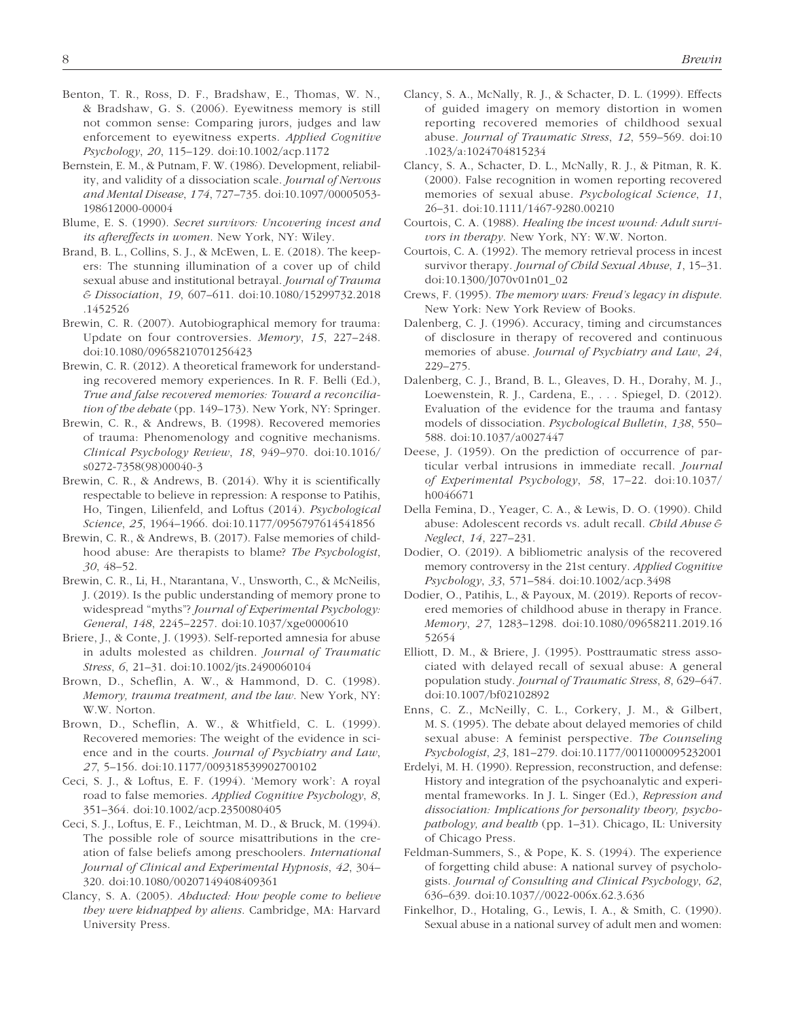- Benton, T. R., Ross, D. F., Bradshaw, E., Thomas, W. N., & Bradshaw, G. S. (2006). Eyewitness memory is still not common sense: Comparing jurors, judges and law enforcement to eyewitness experts. *Applied Cognitive Psychology*, *20*, 115–129. doi:10.1002/acp.1172
- Bernstein, E. M., & Putnam, F. W. (1986). Development, reliability, and validity of a dissociation scale. *Journal of Nervous and Mental Disease*, *174*, 727–735. doi:10.1097/00005053- 198612000-00004
- Blume, E. S. (1990). *Secret survivors: Uncovering incest and its aftereffects in women*. New York, NY: Wiley.
- Brand, B. L., Collins, S. J., & McEwen, L. E. (2018). The keepers: The stunning illumination of a cover up of child sexual abuse and institutional betrayal. *Journal of Trauma & Dissociation*, *19*, 607–611. doi:10.1080/15299732.2018 .1452526
- Brewin, C. R. (2007). Autobiographical memory for trauma: Update on four controversies. *Memory*, *15*, 227–248. doi:10.1080/09658210701256423
- Brewin, C. R. (2012). A theoretical framework for understanding recovered memory experiences. In R. F. Belli (Ed.), *True and false recovered memories: Toward a reconciliation of the debate* (pp. 149–173). New York, NY: Springer.
- Brewin, C. R., & Andrews, B. (1998). Recovered memories of trauma: Phenomenology and cognitive mechanisms. *Clinical Psychology Review*, *18*, 949–970. doi:10.1016/ s0272-7358(98)00040-3
- Brewin, C. R., & Andrews, B. (2014). Why it is scientifically respectable to believe in repression: A response to Patihis, Ho, Tingen, Lilienfeld, and Loftus (2014). *Psychological Science*, *25*, 1964–1966. doi:10.1177/0956797614541856
- Brewin, C. R., & Andrews, B. (2017). False memories of childhood abuse: Are therapists to blame? *The Psychologist*, *30*, 48–52.
- Brewin, C. R., Li, H., Ntarantana, V., Unsworth, C., & McNeilis, J. (2019). Is the public understanding of memory prone to widespread "myths"? *Journal of Experimental Psychology: General*, *148*, 2245–2257. doi:10.1037/xge0000610
- Briere, J., & Conte, J. (1993). Self-reported amnesia for abuse in adults molested as children. *Journal of Traumatic Stress*, *6*, 21–31. doi:10.1002/jts.2490060104
- Brown, D., Scheflin, A. W., & Hammond, D. C. (1998). *Memory, trauma treatment, and the law*. New York, NY: W.W. Norton.
- Brown, D., Scheflin, A. W., & Whitfield, C. L. (1999). Recovered memories: The weight of the evidence in science and in the courts. *Journal of Psychiatry and Law*, *27*, 5–156. doi:10.1177/009318539902700102
- Ceci, S. J., & Loftus, E. F. (1994). 'Memory work': A royal road to false memories. *Applied Cognitive Psychology*, *8*, 351–364. doi:10.1002/acp.2350080405
- Ceci, S. J., Loftus, E. F., Leichtman, M. D., & Bruck, M. (1994). The possible role of source misattributions in the creation of false beliefs among preschoolers. *International Journal of Clinical and Experimental Hypnosis*, *42*, 304– 320. doi:10.1080/00207149408409361
- Clancy, S. A. (2005). *Abducted: How people come to believe they were kidnapped by aliens*. Cambridge, MA: Harvard University Press.
- Clancy, S. A., McNally, R. J., & Schacter, D. L. (1999). Effects of guided imagery on memory distortion in women reporting recovered memories of childhood sexual abuse. *Journal of Traumatic Stress*, *12*, 559–569. doi:10 .1023/a:1024704815234
- Clancy, S. A., Schacter, D. L., McNally, R. J., & Pitman, R. K. (2000). False recognition in women reporting recovered memories of sexual abuse. *Psychological Science*, *11*, 26–31. doi:10.1111/1467-9280.00210
- Courtois, C. A. (1988). *Healing the incest wound: Adult survivors in therapy*. New York, NY: W.W. Norton.
- Courtois, C. A. (1992). The memory retrieval process in incest survivor therapy. *Journal of Child Sexual Abuse*, *1*, 15–31. doi:10.1300/J070v01n01\_02
- Crews, F. (1995). *The memory wars: Freud's legacy in dispute*. New York: New York Review of Books.
- Dalenberg, C. J. (1996). Accuracy, timing and circumstances of disclosure in therapy of recovered and continuous memories of abuse. *Journal of Psychiatry and Law*, *24*, 229–275.
- Dalenberg, C. J., Brand, B. L., Gleaves, D. H., Dorahy, M. J., Loewenstein, R. J., Cardena, E., . . . Spiegel, D. (2012). Evaluation of the evidence for the trauma and fantasy models of dissociation. *Psychological Bulletin*, *138*, 550– 588. doi:10.1037/a0027447
- Deese, J. (1959). On the prediction of occurrence of particular verbal intrusions in immediate recall. *Journal of Experimental Psychology*, *58*, 17–22. doi:10.1037/ h0046671
- Della Femina, D., Yeager, C. A., & Lewis, D. O. (1990). Child abuse: Adolescent records vs. adult recall. *Child Abuse & Neglect*, *14*, 227–231.
- Dodier, O. (2019). A bibliometric analysis of the recovered memory controversy in the 21st century. *Applied Cognitive Psychology*, *33*, 571–584. doi:10.1002/acp.3498
- Dodier, O., Patihis, L., & Payoux, M. (2019). Reports of recovered memories of childhood abuse in therapy in France. *Memory*, *27*, 1283–1298. doi:10.1080/09658211.2019.16 52654
- Elliott, D. M., & Briere, J. (1995). Posttraumatic stress associated with delayed recall of sexual abuse: A general population study. *Journal of Traumatic Stress*, *8*, 629–647. doi:10.1007/bf02102892
- Enns, C. Z., McNeilly, C. L., Corkery, J. M., & Gilbert, M. S. (1995). The debate about delayed memories of child sexual abuse: A feminist perspective. *The Counseling Psychologist*, *23*, 181–279. doi:10.1177/0011000095232001
- Erdelyi, M. H. (1990). Repression, reconstruction, and defense: History and integration of the psychoanalytic and experimental frameworks. In J. L. Singer (Ed.), *Repression and dissociation: Implications for personality theory, psychopathology, and health* (pp. 1–31). Chicago, IL: University of Chicago Press.
- Feldman-Summers, S., & Pope, K. S. (1994). The experience of forgetting child abuse: A national survey of psychologists. *Journal of Consulting and Clinical Psychology*, *62*, 636–639. doi:10.1037//0022-006x.62.3.636
- Finkelhor, D., Hotaling, G., Lewis, I. A., & Smith, C. (1990). Sexual abuse in a national survey of adult men and women: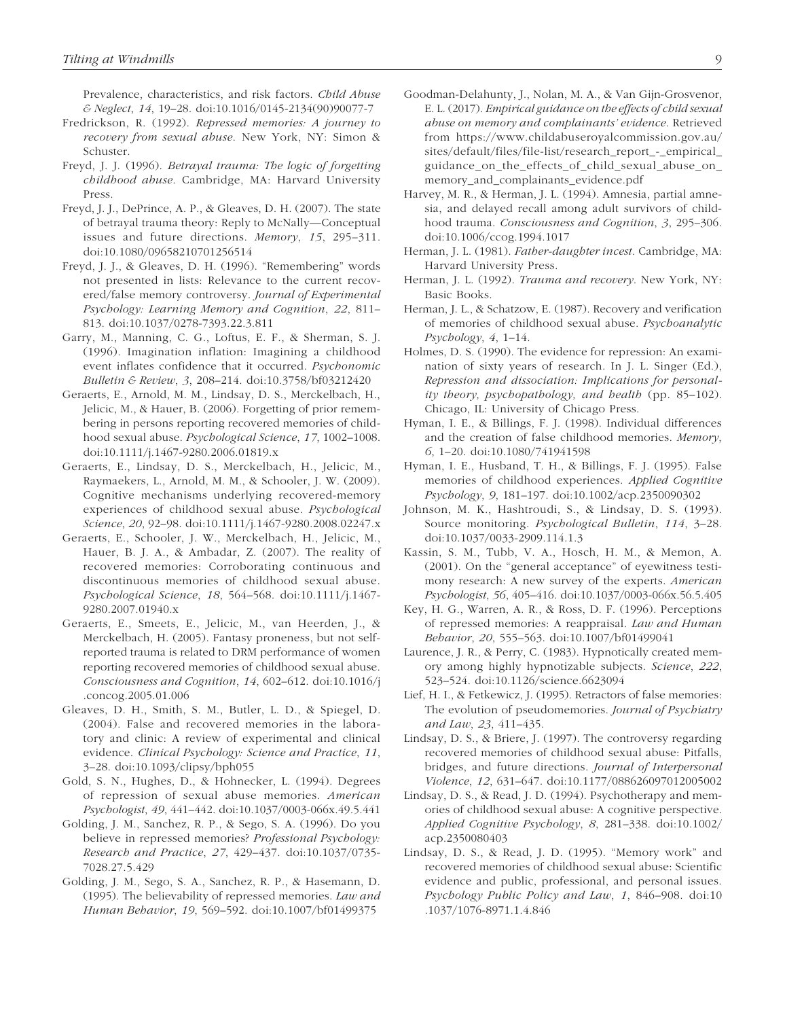Prevalence, characteristics, and risk factors. *Child Abuse & Neglect*, *14*, 19–28. doi:10.1016/0145-2134(90)90077-7

- Fredrickson, R. (1992). *Repressed memories: A journey to recovery from sexual abuse*. New York, NY: Simon & Schuster.
- Freyd, J. J. (1996). *Betrayal trauma: The logic of forgetting childhood abuse*. Cambridge, MA: Harvard University Press.
- Freyd, J. J., DePrince, A. P., & Gleaves, D. H. (2007). The state of betrayal trauma theory: Reply to McNally—Conceptual issues and future directions. *Memory*, *15*, 295–311. doi:10.1080/09658210701256514
- Freyd, J. J., & Gleaves, D. H. (1996). "Remembering" words not presented in lists: Relevance to the current recovered/false memory controversy. *Journal of Experimental Psychology: Learning Memory and Cognition*, *22*, 811– 813. doi:10.1037/0278-7393.22.3.811
- Garry, M., Manning, C. G., Loftus, E. F., & Sherman, S. J. (1996). Imagination inflation: Imagining a childhood event inflates confidence that it occurred. *Psychonomic Bulletin & Review*, *3*, 208–214. doi:10.3758/bf03212420
- Geraerts, E., Arnold, M. M., Lindsay, D. S., Merckelbach, H., Jelicic, M., & Hauer, B. (2006). Forgetting of prior remembering in persons reporting recovered memories of childhood sexual abuse. *Psychological Science*, *17*, 1002–1008. doi:10.1111/j.1467-9280.2006.01819.x
- Geraerts, E., Lindsay, D. S., Merckelbach, H., Jelicic, M., Raymaekers, L., Arnold, M. M., & Schooler, J. W. (2009). Cognitive mechanisms underlying recovered-memory experiences of childhood sexual abuse. *Psychological Science*, *20*, 92–98. doi:10.1111/j.1467-9280.2008.02247.x
- Geraerts, E., Schooler, J. W., Merckelbach, H., Jelicic, M., Hauer, B. J. A., & Ambadar, Z. (2007). The reality of recovered memories: Corroborating continuous and discontinuous memories of childhood sexual abuse. *Psychological Science*, *18*, 564–568. doi:10.1111/j.1467- 9280.2007.01940.x
- Geraerts, E., Smeets, E., Jelicic, M., van Heerden, J., & Merckelbach, H. (2005). Fantasy proneness, but not selfreported trauma is related to DRM performance of women reporting recovered memories of childhood sexual abuse. *Consciousness and Cognition*, *14*, 602–612. doi:10.1016/j .concog.2005.01.006
- Gleaves, D. H., Smith, S. M., Butler, L. D., & Spiegel, D. (2004). False and recovered memories in the laboratory and clinic: A review of experimental and clinical evidence. *Clinical Psychology: Science and Practice*, *11*, 3–28. doi:10.1093/clipsy/bph055
- Gold, S. N., Hughes, D., & Hohnecker, L. (1994). Degrees of repression of sexual abuse memories. *American Psychologist*, *49*, 441–442. doi:10.1037/0003-066x.49.5.441
- Golding, J. M., Sanchez, R. P., & Sego, S. A. (1996). Do you believe in repressed memories? *Professional Psychology: Research and Practice*, *27*, 429–437. doi:10.1037/0735- 7028.27.5.429
- Golding, J. M., Sego, S. A., Sanchez, R. P., & Hasemann, D. (1995). The believability of repressed memories. *Law and Human Behavior*, *19*, 569–592. doi:10.1007/bf01499375
- Goodman-Delahunty, J., Nolan, M. A., & Van Gijn-Grosvenor, E. L. (2017). *Empirical guidance on the effects of child sexual abuse on memory and complainants' evidence*. Retrieved from [https://www.childabuseroyalcommission.gov.au/](https://www.childabuseroyalcommission.gov.au/sites/default/files/file-list/research_report_-_empirical_guidance_on_the_effects_of_child_sexual_abuse_on_memory_and_complainants_evidence.pdf) [sites/default/files/file-list/research\\_report\\_-\\_empirical\\_](https://www.childabuseroyalcommission.gov.au/sites/default/files/file-list/research_report_-_empirical_guidance_on_the_effects_of_child_sexual_abuse_on_memory_and_complainants_evidence.pdf) [guidance\\_on\\_the\\_effects\\_of\\_child\\_sexual\\_abuse\\_on\\_](https://www.childabuseroyalcommission.gov.au/sites/default/files/file-list/research_report_-_empirical_guidance_on_the_effects_of_child_sexual_abuse_on_memory_and_complainants_evidence.pdf) [memory\\_and\\_complainants\\_evidence.pdf](https://www.childabuseroyalcommission.gov.au/sites/default/files/file-list/research_report_-_empirical_guidance_on_the_effects_of_child_sexual_abuse_on_memory_and_complainants_evidence.pdf)
- Harvey, M. R., & Herman, J. L. (1994). Amnesia, partial amnesia, and delayed recall among adult survivors of childhood trauma. *Consciousness and Cognition*, *3*, 295–306. doi:10.1006/ccog.1994.1017
- Herman, J. L. (1981). *Father-daughter incest*. Cambridge, MA: Harvard University Press.
- Herman, J. L. (1992). *Trauma and recovery*. New York, NY: Basic Books.
- Herman, J. L., & Schatzow, E. (1987). Recovery and verification of memories of childhood sexual abuse. *Psychoanalytic Psychology*, *4*, 1–14.
- Holmes, D. S. (1990). The evidence for repression: An examination of sixty years of research. In J. L. Singer (Ed.), *Repression and dissociation: Implications for personality theory, psychopathology, and health* (pp. 85–102). Chicago, IL: University of Chicago Press.
- Hyman, I. E., & Billings, F. J. (1998). Individual differences and the creation of false childhood memories. *Memory*, *6*, 1–20. doi:10.1080/741941598
- Hyman, I. E., Husband, T. H., & Billings, F. J. (1995). False memories of childhood experiences. *Applied Cognitive Psychology*, *9*, 181–197. doi:10.1002/acp.2350090302
- Johnson, M. K., Hashtroudi, S., & Lindsay, D. S. (1993). Source monitoring. *Psychological Bulletin*, *114*, 3–28. doi:10.1037/0033-2909.114.1.3
- Kassin, S. M., Tubb, V. A., Hosch, H. M., & Memon, A. (2001). On the "general acceptance" of eyewitness testimony research: A new survey of the experts. *American Psychologist*, *56*, 405–416. doi:10.1037/0003-066x.56.5.405
- Key, H. G., Warren, A. R., & Ross, D. F. (1996). Perceptions of repressed memories: A reappraisal. *Law and Human Behavior*, *20*, 555–563. doi:10.1007/bf01499041
- Laurence, J. R., & Perry, C. (1983). Hypnotically created memory among highly hypnotizable subjects. *Science*, *222*, 523–524. doi:10.1126/science.6623094
- Lief, H. I., & Fetkewicz, J. (1995). Retractors of false memories: The evolution of pseudomemories. *Journal of Psychiatry and Law*, *23*, 411–435.
- Lindsay, D. S., & Briere, J. (1997). The controversy regarding recovered memories of childhood sexual abuse: Pitfalls, bridges, and future directions. *Journal of Interpersonal Violence*, *12*, 631–647. doi:10.1177/088626097012005002
- Lindsay, D. S., & Read, J. D. (1994). Psychotherapy and memories of childhood sexual abuse: A cognitive perspective. *Applied Cognitive Psychology*, *8*, 281–338. doi:10.1002/ acp.2350080403
- Lindsay, D. S., & Read, J. D. (1995). "Memory work" and recovered memories of childhood sexual abuse: Scientific evidence and public, professional, and personal issues. *Psychology Public Policy and Law*, *1*, 846–908. doi:10 .1037/1076-8971.1.4.846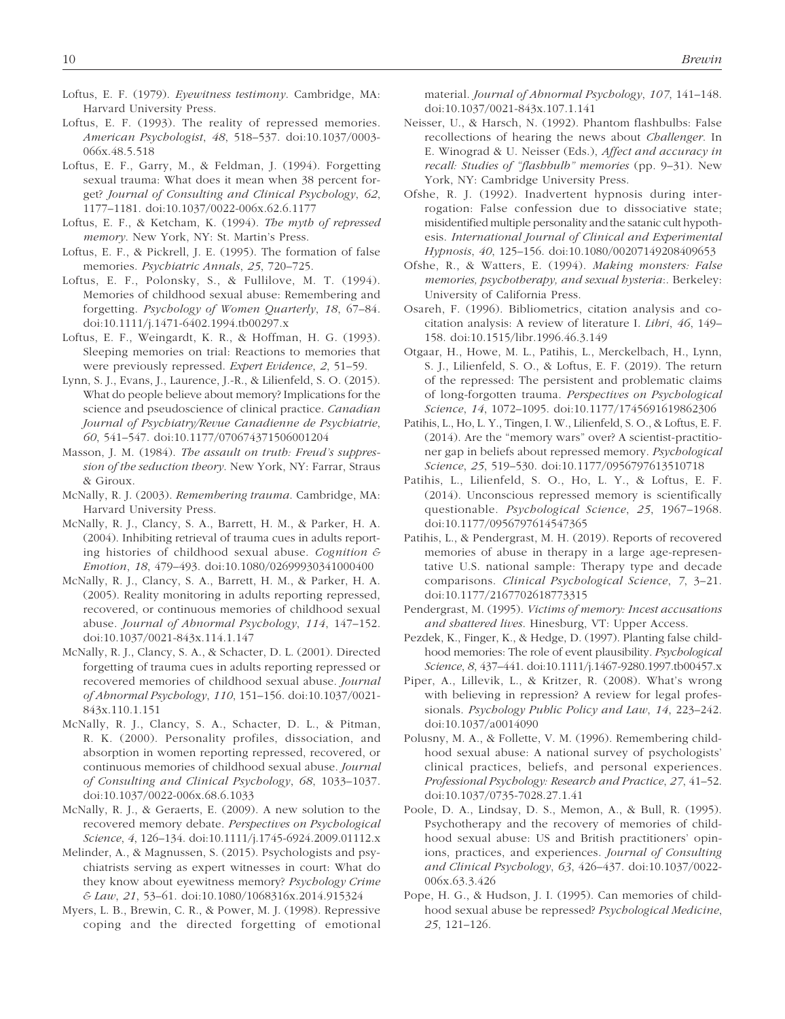- Loftus, E. F. (1979). *Eyewitness testimony*. Cambridge, MA: Harvard University Press.
- Loftus, E. F. (1993). The reality of repressed memories. *American Psychologist*, *48*, 518–537. doi:10.1037/0003- 066x.48.5.518
- Loftus, E. F., Garry, M., & Feldman, J. (1994). Forgetting sexual trauma: What does it mean when 38 percent forget? *Journal of Consulting and Clinical Psychology*, *62*, 1177–1181. doi:10.1037/0022-006x.62.6.1177
- Loftus, E. F., & Ketcham, K. (1994). *The myth of repressed memory*. New York, NY: St. Martin's Press.
- Loftus, E. F., & Pickrell, J. E. (1995). The formation of false memories. *Psychiatric Annals*, *25*, 720–725.
- Loftus, E. F., Polonsky, S., & Fullilove, M. T. (1994). Memories of childhood sexual abuse: Remembering and forgetting. *Psychology of Women Quarterly*, *18*, 67–84. doi:10.1111/j.1471-6402.1994.tb00297.x
- Loftus, E. F., Weingardt, K. R., & Hoffman, H. G. (1993). Sleeping memories on trial: Reactions to memories that were previously repressed. *Expert Evidence*, *2*, 51–59.
- Lynn, S. J., Evans, J., Laurence, J.-R., & Lilienfeld, S. O. (2015). What do people believe about memory? Implications for the science and pseudoscience of clinical practice. *Canadian Journal of Psychiatry/Revue Canadienne de Psychiatrie*, *60*, 541–547. doi:10.1177/070674371506001204
- Masson, J. M. (1984). *The assault on truth: Freud's suppression of the seduction theory*. New York, NY: Farrar, Straus & Giroux.
- McNally, R. J. (2003). *Remembering trauma*. Cambridge, MA: Harvard University Press.
- McNally, R. J., Clancy, S. A., Barrett, H. M., & Parker, H. A. (2004). Inhibiting retrieval of trauma cues in adults reporting histories of childhood sexual abuse. *Cognition & Emotion*, *18*, 479–493. doi:10.1080/02699930341000400
- McNally, R. J., Clancy, S. A., Barrett, H. M., & Parker, H. A. (2005). Reality monitoring in adults reporting repressed, recovered, or continuous memories of childhood sexual abuse. *Journal of Abnormal Psychology*, *114*, 147–152. doi:10.1037/0021-843x.114.1.147
- McNally, R. J., Clancy, S. A., & Schacter, D. L. (2001). Directed forgetting of trauma cues in adults reporting repressed or recovered memories of childhood sexual abuse. *Journal of Abnormal Psychology*, *110*, 151–156. doi:10.1037/0021- 843x.110.1.151
- McNally, R. J., Clancy, S. A., Schacter, D. L., & Pitman, R. K. (2000). Personality profiles, dissociation, and absorption in women reporting repressed, recovered, or continuous memories of childhood sexual abuse. *Journal of Consulting and Clinical Psychology*, *68*, 1033–1037. doi:10.1037/0022-006x.68.6.1033
- McNally, R. J., & Geraerts, E. (2009). A new solution to the recovered memory debate. *Perspectives on Psychological Science*, *4*, 126–134. doi:10.1111/j.1745-6924.2009.01112.x
- Melinder, A., & Magnussen, S. (2015). Psychologists and psychiatrists serving as expert witnesses in court: What do they know about eyewitness memory? *Psychology Crime & Law*, *21*, 53–61. doi:10.1080/1068316x.2014.915324
- Myers, L. B., Brewin, C. R., & Power, M. J. (1998). Repressive coping and the directed forgetting of emotional

material. *Journal of Abnormal Psychology*, *107*, 141–148. doi:10.1037/0021-843x.107.1.141

- Neisser, U., & Harsch, N. (1992). Phantom flashbulbs: False recollections of hearing the news about *Challenger*. In E. Winograd & U. Neisser (Eds.), *Affect and accuracy in recall: Studies of "flashbulb" memories* (pp. 9–31). New York, NY: Cambridge University Press.
- Ofshe, R. J. (1992). Inadvertent hypnosis during interrogation: False confession due to dissociative state; misidentified multiple personality and the satanic cult hypothesis. *International Journal of Clinical and Experimental Hypnosis*, *40*, 125–156. doi:10.1080/00207149208409653
- Ofshe, R., & Watters, E. (1994). *Making monsters: False memories, psychotherapy, and sexual hysteria*:. Berkeley: University of California Press.
- Osareh, F. (1996). Bibliometrics, citation analysis and cocitation analysis: A review of literature I. *Libri*, *46*, 149– 158. doi:10.1515/libr.1996.46.3.149
- Otgaar, H., Howe, M. L., Patihis, L., Merckelbach, H., Lynn, S. J., Lilienfeld, S. O., & Loftus, E. F. (2019). The return of the repressed: The persistent and problematic claims of long-forgotten trauma. *Perspectives on Psychological Science*, *14*, 1072–1095. doi:10.1177/1745691619862306
- Patihis, L., Ho, L. Y., Tingen, I. W., Lilienfeld, S. O., & Loftus, E. F. (2014). Are the "memory wars" over? A scientist-practitioner gap in beliefs about repressed memory. *Psychological Science*, *25*, 519–530. doi:10.1177/0956797613510718
- Patihis, L., Lilienfeld, S. O., Ho, L. Y., & Loftus, E. F. (2014). Unconscious repressed memory is scientifically questionable. *Psychological Science*, *25*, 1967–1968. doi:10.1177/0956797614547365
- Patihis, L., & Pendergrast, M. H. (2019). Reports of recovered memories of abuse in therapy in a large age-representative U.S. national sample: Therapy type and decade comparisons. *Clinical Psychological Science*, *7*, 3–21. doi:10.1177/2167702618773315
- Pendergrast, M. (1995). *Victims of memory: Incest accusations and shattered lives*. Hinesburg, VT: Upper Access.
- Pezdek, K., Finger, K., & Hedge, D. (1997). Planting false childhood memories: The role of event plausibility. *Psychological Science*, *8*, 437–441. doi:10.1111/j.1467-9280.1997.tb00457.x
- Piper, A., Lillevik, L., & Kritzer, R. (2008). What's wrong with believing in repression? A review for legal professionals. *Psychology Public Policy and Law*, *14*, 223–242. doi:10.1037/a0014090
- Polusny, M. A., & Follette, V. M. (1996). Remembering childhood sexual abuse: A national survey of psychologists' clinical practices, beliefs, and personal experiences. *Professional Psychology: Research and Practice*, *27*, 41–52. doi:10.1037/0735-7028.27.1.41
- Poole, D. A., Lindsay, D. S., Memon, A., & Bull, R. (1995). Psychotherapy and the recovery of memories of childhood sexual abuse: US and British practitioners' opinions, practices, and experiences. *Journal of Consulting and Clinical Psychology*, *63*, 426–437. doi:10.1037/0022- 006x.63.3.426
- Pope, H. G., & Hudson, J. I. (1995). Can memories of childhood sexual abuse be repressed? *Psychological Medicine*, *25*, 121–126.